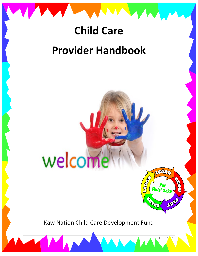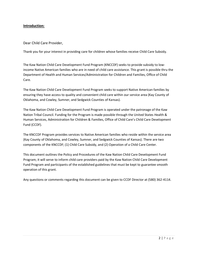# **Introduction:**

Dear Child Care Provider,

Thank you for your interest in providing care for children whose families receive Child Care Subsidy.

The Kaw Nation Child Care Development Fund Program (KNCCDF) seeks to provide subsidy to lowincome Native American families who are in need of child care assistance. This grant is possible thru the Department of Health and Human Services/Administration for Children and Families, Office of Child Care.

The Kaw Nation Child Care Development Fund Program seeks to support Native American families by ensuring they have access to quality and convenient child care within our service area (Kay County of Oklahoma, and Cowley, Sumner, and Sedgwick Counties of Kansas).

The Kaw Nation Child Care Development Fund Program is operated under the patronage of the Kaw Nation Tribal Council. Funding for the Program is made possible through the United States Health & Human Services, Administration for Children & Families, Office of Child Care's Child Care Development Fund (CCDF).

The KNCCDF Program provides services to Native American families who reside within the service area (Kay County of Oklahoma, and Cowley, Sumner, and Sedgwick Counties of Kansas). There are two components of the KNCCDF; (1) Child Care Subsidy, and (2) Operation of a Child Care Center.

This document outlines the Policy and Procedures of the Kaw Nation Child Care Development Fund Program; it will serve to inform child care providers paid by the Kaw Nation Child Care Development Fund Program and participants of the established guidelines that must be kept to guarantee smooth operation of this grant.

Any questions or comments regarding this document can be given to CCDF Director at (580) 362-4114.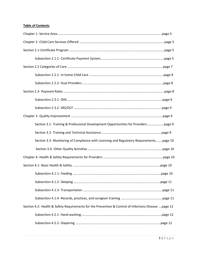# **Table of Contents**

| Section 3.1- Training & Professional Development Opportunities for Providerspage 9                    |  |
|-------------------------------------------------------------------------------------------------------|--|
|                                                                                                       |  |
| Section 3.3- Monitoring of Compliance with Licensing and Regulatory Requirementspage 10               |  |
|                                                                                                       |  |
|                                                                                                       |  |
|                                                                                                       |  |
|                                                                                                       |  |
|                                                                                                       |  |
|                                                                                                       |  |
|                                                                                                       |  |
| Section 4.2- Health & Safety Requirements for the Prevention & Control of Infections Disease  page 12 |  |
|                                                                                                       |  |
|                                                                                                       |  |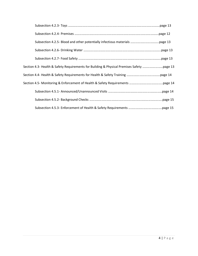| Section 4.3- Health & Safety Requirements for Building & Physical Premises Safety page 13 |  |
|-------------------------------------------------------------------------------------------|--|
|                                                                                           |  |
|                                                                                           |  |
|                                                                                           |  |
|                                                                                           |  |
|                                                                                           |  |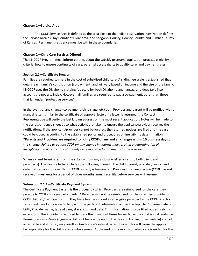#### **Chapter 1—Service Area**

The CCDF Service Area is defined as the area close to the Indian reservation. Kaw Nation defines the Service Area as: Kay County of Oklahoma, and Sedgwick County, Cowley County, and Sumner County of Kansas. Permanent residence must be within these boundaries.

#### **Chapter 2—Child Care Services Offered**

The KNCCDF Program must inform parents about the subsidy program, application process, eligibility criteria, how to ensure continuity of care, parental access rights to quality care, and payment rates.

#### **Section 2.1—Certificate Program**

Families are required to share in the cost of subsidized child care. A sliding fee scale is established that details each family's contribution (co-payment) and will vary based on income and the size of the family. KNCCDF uses the Oklahoma's sliding fee scale for both Oklahoma and Kansas, and does take into account the poverty index. However, all families are required to pay a co-payment, other than those that fall under "protective services".

In the event of any change (co-payment, child's age, etc) both Provider and parent will be notified with a manual letter, similar to the certificate of approval letter. If a letter is returned, the Contact Representative will verify the last known address on the most recent application. Notes will be made to the correspondence sheet as to what actions are taken to ensure the applicant/provider receives the notifications. If the applicant/provider cannot be located, the returned notices are filed and the case could be closed according to the established policy and procedures on ineligibility determination. **\*Parents and Providers are required to notify CCDF of any and all changes within 10 business days of the change.** *Failure to update CCDF on any change in address may result in a determination of ineligibility and parents may ultimately be responsible for payments to the provider.* 

When a client terminates from the subsidy program, a closure letter is sent to both client and provider(s). The closure letter includes the following: name of the child, parent, provider, reason and date that services for Kaw Nation CCDF subsidy is terminated. Providers that are inactive (CCDF has not received timesheets for a period of three months) must recertify before services will resume.

## **Subsection 2.1.1—Certificate Payment System**

The Certificate Payment System is the process by which Providers are reimbursed for the care they provide to CCDF children/participants. A Provider will not be reimbursed for the care they provide to CCDF children/participants until they have been approved as an eligible provider by the CCDF Director. Timesheets are kept on each child, with the pertinent information across the top: child's name, date of birth, Provider name, type of care, star status, and date. This information is to be filled out entirely, no exceptions. The Provider is required to mark the in and out times for each day the child is in attendance. Premature sign in/outs (signing a child out before the end of the day and turning timesheets in) are not acceptable and if found, may result in Kaw Nation's refusal to reimburse. This will cause the applicant to be responsible for the child care reimbursement. At the end of the month or when care is ended for the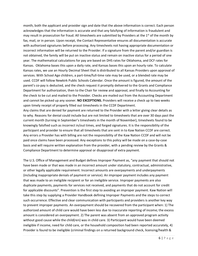month, both the applicant and provider sign and date that the above information is correct. Each person acknowledges that the information is accurate and that any falsifying of information is fraudulent and may result in prosecution for fraud. All timesheets are submitted by Providers at the  $1<sup>st</sup>$  of the month by fax, mail, or in person. Upon receipt, the Contact Representative ensures all documentation is accurate with authorized signatures before processing. Any timesheets not having appropriate documentation or incorrect information will be returned to the Provider. If a signature from the parent and/or guardian is not obtained, the family will be put on inactive status and remain on inactive status for a period of one year. The mathematical calculations for pay are based on DHS rates for Oklahoma, and DCF rates for Kansas. Oklahoma bases this upon a daily rate, and Kansas bases this upon an hourly rate. To calculate Kansas rates, we use an Hourly Decimal Sheet that is distributed to all Kansas Providers upon approval of services. With School Age children, a part-time/full-time rate may be used, or a blended rate may be used. CCDF will follow Newkirk Public Schools Calendar. Once the amount is figured, the amount of the parent's co-pay is deducted, and the check request it promptly delivered to the Grants and Compliance Department for authorization, then to the Chair for review and approval, and finally to Accounting for the check to be cut and mailed to the Provider. Checks are mailed out from the Accounting Department and cannot be picked up any sooner. **NO EXCEPTIONS.** Providers will receive a check up to two weeks upon timely receipt of properly filled out timesheets in the CCDF Department.

Any claims that are denied for payment are returned to the Provider with a letter giving clear details as to why. Reasons for denial could include but are not limited to timesheets that are over 30 days past the current month (turning in September's timesheets in the month of November), timesheets found to be knowingly falsified such as incorrect in/out times, and forged signatures. It is the responsibility of the participant and provider to ensure that all timesheets that are sent in to Kaw Nation CCDF are correct. Any errors a Provider has with billing are not the responsibility of the Kaw Nation CCDF and will not be paid once claims have been processed. Any exceptions to this policy will be made on a case-by-case basis and will require written explanation from the provider, with a pending review by the Grants & Compliance Department to determine approval or disapproval of extra payment.

The U.S. Office of Management and Budget defines Improper Payment as, "any payment that should not have been made or that was made in an incorrect amount under statutory, contractual, administrative, or other legally applicable requirement. Incorrect amounts are overpayments and underpayments (including inappropriate denials of payment or service). An improper payment includes any payment that was made to an ineligible recipient or for an ineligible service. Improper payments are also duplicate payments, payments for services not received, and payments that do not account for credit for applicable discounts". Prevention is the first step to avoiding an improper payment. Kaw Nation will take this step by supplying a Provider Handbook defining Improper Payments and the steps to correct such occurrence. Effective and clear communication with participants and providers is another key way to prevent improper payments. An overpayment should be recovered from the participant when: 1) The authorized amount of child care would have been less due to inaccurate reporting of income; the excess amount is considered an overpayment. 2) The parent was absent from an approved program activity without good cause while the child(ren) was in child care. 3) Participant would have been deemed ineligible if income, need for child care, or the household composition had been reported accurately, 4) Provider is found to be ineligible (criminal findings on a returned background check, licensing/health &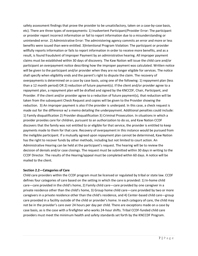safety assessment findings that prove the provider to be unsatisfactory, taken on a case-by-case basis, etc). There are three types of overpayments: 1) Inadvertent Participant/Provider Error: The participant or provider report incorrect information or fail to report information due to a misunderstanding or unintended error. 2) Administrative Error: The administering agency commits an error and more or less benefits were issued than were entitled. 3)Intentional Program Violation: The participant or provider willfully reports information or fails to report information in order to receive more benefits, and as a result, is found fraudulent of Improper Payment by an administrative hearing. All improper payment claims must be established within 30 days of discovery. The Kaw Nation will issue the child care and/or participant an overpayment notice describing how the improper payment was calculated. Written notice will be given to the participant and/or provider when they are no longer eligible for services. The notice shall specify when eligibility ends and the parent's right to dispute the claim. The recovery of overpayments is determined on a case by case basis, using one of the following: 1) repayment plan (less than a 12 month period) OR 2) reduction of future payment(s). If the client and/or provider agree to a repayment plan, a repayment plan will be drafted and signed by the KNCCDF, Chair, Participant, and Provider. If the client and/or provider agree to a reduction of future payment(s), that reduction will be taken from the subsequent Check Request and copies will be given to the Provider showing the reduction. 3) An improper payment is also if the provider is underpaid. In this case, a check request is made out for the difference w/ a memo detailing the underpayment. Additional penalties could include: 1) Family disqualification 2) Provider disqualification 3) Criminal Prosecution. In situations in which a provider provides care for children, pursuant to an authorization to do so, and Kaw Nation CCDF discovers that the family was not entitled to or eligible for that service, the provider is entitled to keep payments made to them for that care. Recovery of overpayment in this instance would be pursued from the ineligible participant. If a mutually agreed upon repayment plan cannot be determined, Kaw Nation has the right to recover funds by other methods, including but not limited to court action. An Administrative Hearing can be held at the participant's request. The hearing will be to review the decision of denials and/or case closings. The request must be submitted within 30 days in writing to the CCDF Director. The results of the Hearing/appeal must be completed within 60 days. A notice will be mailed to the client.

## **Section 2.2—Categories of Care**

Child care providers within the CCDF program must be licensed or regulated by tribal or state law. CCDF defines four categories of care based on the setting in which the care is provided: 1) In-home child care—care provided in the child's home, 2) Family child care—care provided by one caregiver in a private residence other than the child's home, 3) Group home child care—care provided by two or more caregivers in a private residence other than the child's residence, and 4) Center-based child care—group care provided in a facility outside of the child or provider's home. In each category of care, the child may not be in the provider's care over 24 hours per day per child. There are exceptions made on a case by case basis, as is the case with a firefighter who works 24-hour shifts. Tribal CCDF-funded child care providers must meet the minimum health and safety standards set forth by the KNCCDF Program.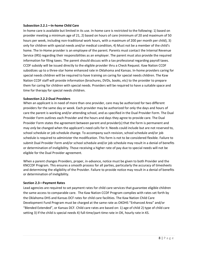#### **Subsection 2.2.1—In-home Child Care**

In-home care is available but limited in its use. In-home care is restricted to the following: 1) based on provider meeting a minimum age of 21, 2) based on hours of care (minimum of 20 and maximum of 50 hours per week, including non-traditional work hours, with a maximum of 200 per month per child), 3) only for children with special needs and/or medical condition, 4) Must not be a member of the child's home. The In-Home provider is an employee of the parent. Parents must contact the Internal Revenue Service (IRS) regarding their responsibilities as an employer. The parent must also provide the required information for filing taxes. The parent should discuss with a tax professional regarding payroll taxes. CCDF subsidy will be issued directly to the eligible provider thru a Check Request. Kaw Nation CCDF subsidizes up to a three-star home enhanced rate in Oklahoma and Kansas. In-home providers caring for special needs children will be required to have training on caring for special needs children. The Kaw Nation CCDF staff will provide information (brochures, DVDs, books, etc) to the provider to prepare them for caring for children with special needs. Providers will be required to have a suitable space and time for therapy for special needs children.

#### **Subsection 2.2.2-Dual Providers**

When an applicant is in need of more than one provider, care may be authorized for two different providers for the same day or week. Each provider may be authorized for only the days and hours of care the parent is working and/or attending school, and as specified in the Dual Provider Form. The Dual Provider Form outlines each Provider and the hours and days they agree to provide care. The Dual Provider Form states the agreement between parent and provider(s) that the form is permanent and may *only* be changed when the applicant's need calls for it. Needs could include but are not reserved to, school schedule or job schedule change. To accompany such revision, school schedule and/or job schedule is required to administer the modification. This form is not to be considered flexible. Failure to submit Dual Provider Form and/or school schedule and/or job schedule may result in a denial of benefits or determination of ineligibility. Those receiving a higher rate of pay due to special needs will not be eligible for the Dual Provider agreement.

When a parent changes Providers, proper, in-advance, notice must be given to both Provider and the KNCCDF Program. This ensures a smooth process for all parties, particularly the accuracy of timesheets and determining the eligibility of the Provider. Failure to provide notice may result in a denial of benefits or determination of ineligibility.

#### **Section 2.3—Payment Rates**

Lead agencies are required to set payment rates for child care services that guarantee eligible children the same access to comparable care. The Kaw Nation CCDF Program complies with rates set forth by the Oklahoma DHS and Kansas DCF rates for child care facilities. The Kaw Nation Child Care Development Fund Program must be charged at the same rate as OKDHS "Enhanced Area" and/or "Blended Extended", or Kansas DCF. Child care rates are based on: 1) age of child 2) type of child care setting 3) If the child is special needs 4) full-time/part-time rate in OK, hourly rate in KS.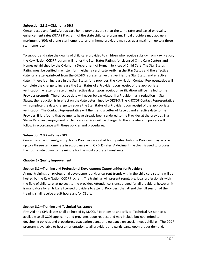#### **Subsection 2.3.1—Oklahoma DHS**

Center based and family/group care home providers are set at the same rates and based on quality enhancement rates (STARS Program) of the state child care program. Tribal providers may accrue a maximum of 90% of a one-star home rate, and In-home providers may accrue a maximum up to a threestar home rate.

To support and raise the quality of child care provided to children who receive subsidy from Kaw Nation, the Kaw Nation CCDF Program will honor the Star Status Ratings for Licensed Child Care Centers and Homes established by the Oklahoma Department of Human Services of Child Care. The Star Status Rating must be verified in written form, either a certificate verifying the Star Status and the effective date, or a letter/print-out from the OKDHS representative that verifies the Star Status and effective date. If there is an increase in the Star Status for a provider, the Kaw Nation Contact Representative will complete the change to increase the Star Status of a Provider upon receipt of the appropriate verification. A letter of receipt and effective date (upon receipt of verification) will be mailed to the Provider promptly. The effective date will never be backdated. If a Provider has a reduction in Star Status, the reduction is in effect on the date determined by OKDHS. The KNCCDF Contact Representative will complete the data change to reduce the Star Status of a Provider upon receipt of the appropriate verification. The Contact Representative will then send a Letter of Receipt and effective date to the Provider; if it is found that payments have already been rendered to the Provider at the previous Star Status Rate, an overpayment of child care services will be charged to the Provider and process will follow in accordance with these policies and procedures.

#### **Subsection 2.3.2—Kansas DCF**

Center based and family/group home Providers are set at hourly rates. In-home Providers may accrue up to a three-star home rate in accordance with OKDHS rates. A decimal time clock is used to process the hourly rate down to the minute for the most accurate timesheets.

## **Chapter 3- Quality Improvement**

#### **Section 3.1—Training and Professional Development Opportunities for Providers**

Annual trainings on professional development and/or current trends within the child care setting will be hosted by the Kaw Nation CCDF Program. The trainings will present reputable, local professionals within the field of child care, at no cost to the provider. Attendance is encouraged for all providers; however, it is mandatory for all tribally licensed providers to attend. Providers that attend the full session of the training shall receive credit hours and/or CEU's.

## **Section 3.2—Training and Technical Assistance**

First Aid and CPR classes shall be hosted by KNCCDF both onsite and offsite. Technical Assistance is available to all CCDF applicants and providers upon request and may include but not limited to: developing policies and procedures, evacuation plans, and guidance on special needs children. The CCDF program is available to host an orientation to all providers and participants upon proper demand.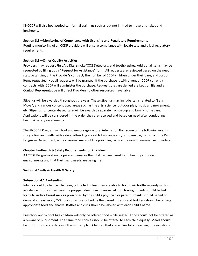KNCCDF will also host periodic, informal trainings such as but not limited to make-and-takes and luncheons.

#### **Section 3.3—Monitoring of Compliance with Licensing and Regulatory Requirements**

Routine monitoring of all CCDF providers will ensure compliance with local/state and tribal regulatory requirements.

## **Section 3.5—Other Quality Activities**

Providers may request First Aid Kits, smoke/CO2 Detectors, and toothbrushes. Additional items may be requested by filling out a "Request for Assistance" form. All requests are reviewed based on the need, status/standing of the Provider's contract, the number of CCDF children under their care, and cost of items requested. Not all requests will be granted. If the purchase is with a vendor CCDF currently contracts with, CCDF will administer the purchase. Requests that are denied are kept on file and a Contact Representative will direct Providers to other resources if available.

Stipends will be awarded throughout the year. These stipends may include items related to "Let's Move", and various concentrated areas such as the arts, science, outdoor play, music and movement, etc. Stipends for center-based care will be awarded separate from group and family home care. Applications will be considered in the order they are received and based on need after conducting health & safety assessments.

The KNCCDF Program will host and encourage cultural integration thru some of the following events: storytelling and crafts with elders, attending a local tribal dance and/or pow-wow, visits from the Kaw Language Department, and occasional mail-out kits providing cultural training to non-native providers.

## **Chapter 4—Health & Safety Requirements for Providers**

All CCDF Programs should operate to ensure that children are cared for in healthy and safe environments and that their basic needs are being met.

## **Section 4.1—Basic Health & Safety**

#### **Subsection 4.1.1—Feeding**

Infants should be held while being bottle fed unless they are able to hold their bottle securely without assistance. Bottles may never be propped due to an increase risk for choking. Infants should be fed formula and/or breast milk as prescribed by the child's physician or parent. Infants should be fed on demand at least every 2-3 hours or as prescribed by the parent. Infants and toddlers should be fed age appropriate food and snacks. Bottles and cups should be labeled with each child's name.

Preschool and School Age children will only be offered food while seated. Food should not be offered as a reward or punishment. The same food choices should be offered to each child equally. Meals should be nutritious in accordance of the written plan. Children that are in care for at least eight hours should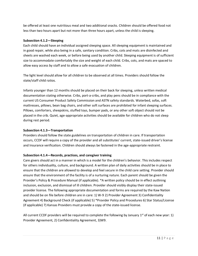be offered at least one nutritious meal and two additional snacks. Children should be offered food not less than two hours apart but not more than three hours apart, unless the child is sleeping.

## **Subsection 4.1.2—Sleeping**

Each child should have an individual assigned sleeping space. All sleeping equipment is maintained and in good repair, while also being in a safe, sanitary condition. Cribs, cots and mats are disinfected and sheets are washed each week, or before being used by another child. Sleeping equipment is of sufficient size to accommodate comfortably the size and weight of each child. Cribs, cots, and mats are spaced to allow easy access by staff and to allow a safe evacuation of children.

The light level should allow for all children to be observed at all times. Providers should follow the state/staff child ratios.

Infants younger than 12 months should be placed on their back for sleeping, unless written medical documentation stating otherwise. Cribs, port-a-cribs, and play pens should be in compliance with the current US Consumer Product Safety Commission and ASTN safety standards. Waterbed, sofas, soft mattresses, pillows, bean bag chairs, and other soft surfaces are prohibited for infant sleeping surfaces. Pillows, comforters, sheepskins, stuffed toys, bumper pads, or any other soft object should not be placed in the crib. Quiet, age-appropriate activities should be available for children who do not sleep during rest period.

## **Subsection 4.1.3—Transportation**

Providers should follow the state guidelines on transportation of children in care. If transportation occurs, CCDF will require a copy of the provider and all substitutes' current, state-issued driver's license and Insurance verification. Children should always be fastened in the age-appropriate restraint.

## **Subsection 4.1.4—Records, practices, and caregiver training**

Care givers should act in a manner in which is a model for the children's behavior. This includes respect for others individuality, culture, and background. A written plan of daily activities should be in place to ensure that the children are allowed to develop and feel secure in the child care setting. Provider should ensure that the environment of the facility is of a nurturing nature. Each parent should be given the Provider's Policy & Procedure Manual (if applicable). \*A written policy should be in effect outlining inclusion, exclusion, and dismissal of ill children. Provider should visibly display their state-issued provider license. The following appropriate documentation and forms are required by the Kaw Nation and should be on file before children are in care: 1) W-9 2) Provider Agreement 3) Confidentiality Agreement 4) Background Check (if applicable) 5) \*Provider Policy and Procedures 6) Star Status/License (if applicable) 7) Kansas Providers must provide a copy of the state-issued license.

All current CCDF providers will be required to complete the following by January  $1<sup>st</sup>$  of each new year: 1) Provider Agreement, 2) Confidentiality Agreement, 3)W9.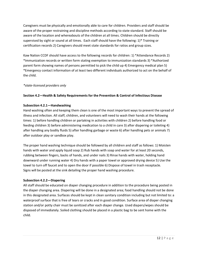Caregivers must be physically and emotionally able to care for children. Providers and staff should be aware of the proper restraining and discipline methods according to state standard. Staff should be aware of the location and whereabouts of the children at all times. Children should be directly supervised by sight or sound at all times. Each staff should have the following: 1)\* Training or certification records 2) Caregivers should meet state standards for ratios and group sizes.

Kaw Nation CCDF should have access to the following records for children: 1) \*Attendance Records 2) \*Immunization records or written form stating exemption to immunization standards 3) \*Authorized parent form showing names of persons permitted to pick the child up 4) Emergency medical plan 5) \*Emergency contact information of at least two different individuals authorized to act on the behalf of the child.

## *\*state-licensed providers only*

# **Section 4.2—Health & Safety Requirements for the Prevention & Control of Infectious Disease**

## **Subsection 4.2.1—Handwashing**

Hand washing often and keeping them clean is one of the most important ways to prevent the spread of illness and infection. All staff, children, and volunteers will need to wash their hands at the following times: 1) before handling children or partaking in activities with children 2) before handling food or feeding children 3) before administering medication to a child in care 3) after diapering or toileting 4) after handling any bodily fluids 5) after handling garbage or waste 6) after handling pets or animals 7) after outdoor play or sandbox play.

The proper hand washing technique should be followed by all children and staff as follows: 1) Moisten hands with water and apply liquid soap 2) Rub hands with soap and water for at least 20 seconds, rubbing between fingers, backs of hands, and under nails 3) Rinse hands with water, holding hand downward under running water 4) Dry hands with a paper towel or approved drying device 5) Use the towel to turn off faucet and to open the door if possible 6) Dispose of towel in trash receptacle. Signs will be posted at the sink detailing the proper hand washing procedure.

## **Subsection 4.2.2—Diapering**

All staff should be educated on diaper changing procedure in addition to the procedure being posted in the diaper changing area. Diapering will be done in a designated area; food handling should not be done in this designated area. Surfaces should be kept in clean sanitary condition including but not limited to: a waterproof surface that is free of tears or cracks and in good condition. Surface area of diaper changing station and/or potty chair must be sanitized after each diaper change. Used diapers/wipes should be disposed of immediately. Soiled clothing should be placed in a plastic bag to be sent home with the child.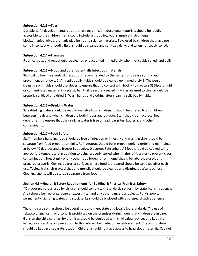#### **Subsection 4.2.3—Toys**

Durable, safe, developmentally appropriate toys and/or educational materials should be readily accessible to the children. Items could include art supplies, books, musical instruments, blocks/manipulatives, dramatic play items and science materials. Toys used by children that have not come in contact with bodily fluid, should be cleaned and sanitized daily, and when noticeably soiled.

#### **Subsection 4.2.4—Premises**

Floor, carpets, and rugs should be cleaned or vacuumed immediately when noticeably soiled, and daily.

#### **Subsection 4.2.5—Blood and other potentially infectious materials**

Staff will follow the standard precautions recommended by the center for disease control and prevention, as follows: 1) Any spilt bodily fluids should be cleaned up immediately 2) The person cleaning such fluids should use gloves to ensure that no contact with bodily fluid occurs 3) Discard fluid or contaminated material in a plastic bag that is securely sealed 4) Materials used to clean should be properly sanitized and dried 5) Wash hands and clothing after cleaning spilt bodily fluids.

#### **Subsection 4.2.6—Drinking Water**

Safe drinking water should be readily available to all children. It should be offered to all children between meals and when children are both indoor and outdoor. Staff should contact local health department to ensure that the drinking water is free of lead, parasites, bacteria, and other contaminants.

#### **Subsection 4.2.7—Food Safety**

Staff members handling food should be free of infection or illness. Hand washing sinks should be separate from food preparation sinks. Refrigerators should be in proper working order and maintained at below 40 degrees and a freezer kept below 0 degrees Fahrenheit. All food should be cooked to its appropriate temperature in addition to being properly stored when in the refrigerator to prevent cross contamination. Breast milk or any other food brought from home should be labeled, stored, and prepared properly. Cutting boards or surfaces where food is prepared should be sanitized after each use. Tables, highchair trays, dishes and utensils should be cleaned and disinfected after each use. Cleaning agents will be stored separately from food.

## **Section 4.3—Health & Safety Requirements for Building & Physical Premises Safety**

\*Outdoor play areas used by children should comply with standards set forth by state licensing agency. Area should be free of garbage or excess litter and any other dangerous objects. Ponds, pools, permanently standing water, and stock tanks should be enclosed with a safeguard such as a fence.

The child care setting should be overall safe and meet state and local tribal standards. The use of tobacco of any form, or alcohol is prohibited on the premises during hours that children are in care. Guns on the child care facility premises should be equipped with child safety devices and kept in a locked location. The only exception to this rule will be made for law enforcement. The ammunition should be kept in a separate location. Children should not have access to hazardous materials. Cabinet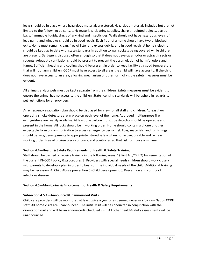locks should be in place where hazardous materials are stored. Hazardous materials included but are not limited to the following: poisons, toxic materials, cleaning supplies, sharp or pointed objects, plastic bags, flammable liquids, drugs of any kind and insecticides. Walls should not have hazardous levels of lead paint, and windows should be in good repair. Each floor of a home should have two unblocked exits. Home must remain clean, free of litter and excess debris, and in good repair. A home's electric should be kept up to date with state standards in addition to wall sockets being covered while children are present. Garbage is disposed often enough so that it does not develop an odor or attract insects or rodents. Adequate ventilation should be present to prevent the accumulation of harmful odors and fumes. Sufficient heating and cooling should be present in order to keep facility at a good temperature that will not harm children. CCDF must have access to all areas the child will have access to. If the child does not have access to an area, a locking mechanism or other form of visible safety measures must be evident.

All animals and/or pets must be kept separate from the children. Safety measures must be evident to ensure the animal has no access to the children. State licensing standards will be upheld in regards to pet restrictions for all providers.

An emergency evacuation plan should be displayed for view for all staff and children. At least two operating smoke detectors are in place on each level of the home. Approved multipurpose fire extinguishers are readily available. At least one carbon monoxide detector should be operable and present in the home. All locks should be in working order. Home should contain a phone or other expectable form of communication to access emergency personnel. Toys, materials, and furnishings should be: age/developmentally appropriate, stored safely when not in use, durable and remain in working order, free of broken pieces or tears, and positioned so that risk for injury is minimal.

## **Section 4.4—Health & Safety Requirements for Health & Safety Training**

Staff should be trained or receive training in the following areas: 1) First Aid/CPR 2) Implementation of the current KNCCDF policy & procedures 3) Providers with special needs children should work closely with parents to develop a plan in order to best suit the individual needs of the child. Additional training may be necessary. 4) Child Abuse prevention 5) Child development 6) Prevention and control of infectious disease.

## **Section 4.5—Monitoring & Enforcement of Health & Safety Requirements**

## **Subsection 4.5.1—Announced/Unannounced Visits**

Child care providers will be monitored at least twice a year or as deemed necessary by Kaw Nation CCDF staff. All home visits are unannounced. The initial visit will be conducted in conjunction with the orientation visit and will be an announced/scheduled visit. All other health/safety assessments will be unannounced.